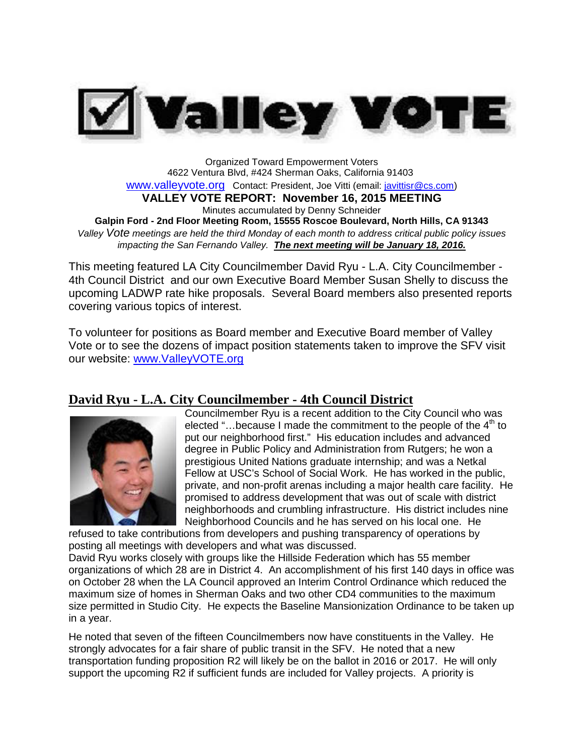

Organized Toward Empowerment Voters 4622 Ventura Blvd, #424 Sherman Oaks, California 91403 [www.valleyvote.org](http://www.valleyvote.org/) Contact: President, Joe Vitti [\(email:](mailto:javittisr@cs.com)) [javittisr@cs.com\)](mailto:javittisr@cs.com)) **VALLEY VOTE REPORT: November 16, 2015 MEETING** Minutes accumulated by Denny Schneider **Galpin Ford - 2nd Floor Meeting Room, 15555 Roscoe Boulevard, North Hills, CA 91343** *Valley Vote meetings are held the third Monday of each month to address critical public policy issues impacting the San Fernando Valley. The next meeting will be January 18, 2016.*

This meeting featured LA City Councilmember David Ryu - L.A. City Councilmember - 4th Council District and our own Executive Board Member Susan Shelly to discuss the upcoming LADWP rate hike proposals. Several Board members also presented reports covering various topics of interest.

To volunteer for positions as Board member and Executive Board member of Valley Vote or to see the dozens of impact position statements taken to improve the SFV visit our website: [www.ValleyVOTE.org](http://www.valleyvote.org/)

## **David Ryu - L.A. City Councilmember - 4th Council District**



Councilmember Ryu is a recent addition to the City Council who was elected "...because I made the commitment to the people of the  $4<sup>th</sup>$  to put our neighborhood first." His education includes and advanced degree in Public Policy and Administration from Rutgers; he won a prestigious United Nations graduate internship; and was a Netkal Fellow at USC's School of Social Work. He has worked in the public, private, and non-profit arenas including a major health care facility. He promised to address development that was out of scale with district neighborhoods and crumbling infrastructure. His district includes nine Neighborhood Councils and he has served on his local one. He

refused to take contributions from developers and pushing transparency of operations by posting all meetings with developers and what was discussed.

David Ryu works closely with groups like the Hillside Federation which has 55 member organizations of which 28 are in District 4. An accomplishment of his first 140 days in office was on October 28 when the LA Council approved an Interim Control Ordinance which reduced the maximum size of homes in Sherman Oaks and two other CD4 communities to the maximum size permitted in Studio City. He expects the Baseline Mansionization Ordinance to be taken up in a year.

He noted that seven of the fifteen Councilmembers now have constituents in the Valley. He strongly advocates for a fair share of public transit in the SFV. He noted that a new transportation funding proposition R2 will likely be on the ballot in 2016 or 2017. He will only support the upcoming R2 if sufficient funds are included for Valley projects. A priority is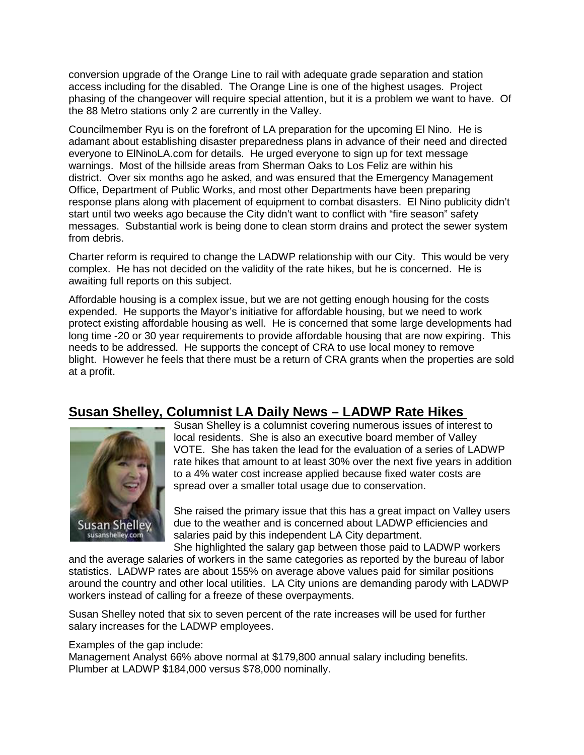conversion upgrade of the Orange Line to rail with adequate grade separation and station access including for the disabled. The Orange Line is one of the highest usages. Project phasing of the changeover will require special attention, but it is a problem we want to have. Of the 88 Metro stations only 2 are currently in the Valley.

Councilmember Ryu is on the forefront of LA preparation for the upcoming El Nino. He is adamant about establishing disaster preparedness plans in advance of their need and directed everyone to ElNinoLA.com for details. He urged everyone to sign up for text message warnings. Most of the hillside areas from Sherman Oaks to Los Feliz are within his district. Over six months ago he asked, and was ensured that the Emergency Management Office, Department of Public Works, and most other Departments have been preparing response plans along with placement of equipment to combat disasters. El Nino publicity didn't start until two weeks ago because the City didn't want to conflict with "fire season" safety messages. Substantial work is being done to clean storm drains and protect the sewer system from debris.

Charter reform is required to change the LADWP relationship with our City. This would be very complex. He has not decided on the validity of the rate hikes, but he is concerned. He is awaiting full reports on this subject.

Affordable housing is a complex issue, but we are not getting enough housing for the costs expended. He supports the Mayor's initiative for affordable housing, but we need to work protect existing affordable housing as well. He is concerned that some large developments had long time -20 or 30 year requirements to provide affordable housing that are now expiring. This needs to be addressed. He supports the concept of CRA to use local money to remove blight. However he feels that there must be a return of CRA grants when the properties are sold at a profit.

# **Susan Shelley, Columnist LA Daily News – LADWP Rate Hikes**



Susan Shelley is a columnist covering numerous issues of interest to local residents. She is also an executive board member of Valley VOTE. She has taken the lead for the evaluation of a series of LADWP rate hikes that amount to at least 30% over the next five years in addition to a 4% water cost increase applied because fixed water costs are spread over a smaller total usage due to conservation.

She raised the primary issue that this has a great impact on Valley users due to the weather and is concerned about LADWP efficiencies and salaries paid by this independent LA City department.

She highlighted the salary gap between those paid to LADWP workers and the average salaries of workers in the same categories as reported by the bureau of labor statistics. LADWP rates are about 155% on average above values paid for similar positions around the country and other local utilities. LA City unions are demanding parody with LADWP workers instead of calling for a freeze of these overpayments.

Susan Shelley noted that six to seven percent of the rate increases will be used for further salary increases for the LADWP employees.

Examples of the gap include:

Management Analyst 66% above normal at \$179,800 annual salary including benefits. Plumber at LADWP \$184,000 versus \$78,000 nominally.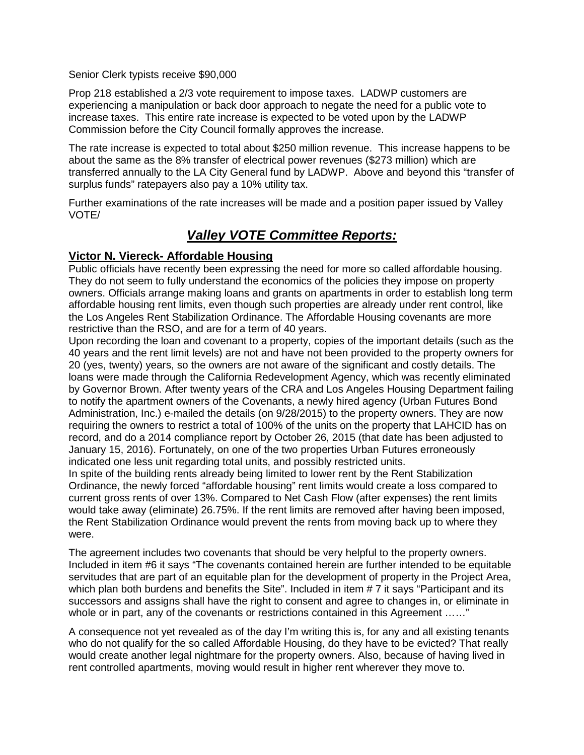Senior Clerk typists receive \$90,000

Prop 218 established a 2/3 vote requirement to impose taxes. LADWP customers are experiencing a manipulation or back door approach to negate the need for a public vote to increase taxes. This entire rate increase is expected to be voted upon by the LADWP Commission before the City Council formally approves the increase.

The rate increase is expected to total about \$250 million revenue. This increase happens to be about the same as the 8% transfer of electrical power revenues (\$273 million) which are transferred annually to the LA City General fund by LADWP. Above and beyond this "transfer of surplus funds" ratepayers also pay a 10% utility tax.

Further examinations of the rate increases will be made and a position paper issued by Valley VOTE/

## *Valley VOTE Committee Reports:*

#### **Victor N. Viereck- Affordable Housing**

Public officials have recently been expressing the need for more so called affordable housing. They do not seem to fully understand the economics of the policies they impose on property owners. Officials arrange making loans and grants on apartments in order to establish long term affordable housing rent limits, even though such properties are already under rent control, like the Los Angeles Rent Stabilization Ordinance. The Affordable Housing covenants are more restrictive than the RSO, and are for a term of 40 years.

Upon recording the loan and covenant to a property, copies of the important details (such as the 40 years and the rent limit levels) are not and have not been provided to the property owners for 20 (yes, twenty) years, so the owners are not aware of the significant and costly details. The loans were made through the California Redevelopment Agency, which was recently eliminated by Governor Brown. After twenty years of the CRA and Los Angeles Housing Department failing to notify the apartment owners of the Covenants, a newly hired agency (Urban Futures Bond Administration, Inc.) e-mailed the details (on 9/28/2015) to the property owners. They are now requiring the owners to restrict a total of 100% of the units on the property that LAHCID has on record, and do a 2014 compliance report by October 26, 2015 (that date has been adjusted to January 15, 2016). Fortunately, on one of the two properties Urban Futures erroneously indicated one less unit regarding total units, and possibly restricted units.

In spite of the building rents already being limited to lower rent by the Rent Stabilization Ordinance, the newly forced "affordable housing" rent limits would create a loss compared to current gross rents of over 13%. Compared to Net Cash Flow (after expenses) the rent limits would take away (eliminate) 26.75%. If the rent limits are removed after having been imposed, the Rent Stabilization Ordinance would prevent the rents from moving back up to where they were.

The agreement includes two covenants that should be very helpful to the property owners. Included in item #6 it says "The covenants contained herein are further intended to be equitable servitudes that are part of an equitable plan for the development of property in the Project Area, which plan both burdens and benefits the Site". Included in item # 7 it says "Participant and its successors and assigns shall have the right to consent and agree to changes in, or eliminate in whole or in part, any of the covenants or restrictions contained in this Agreement ……"

A consequence not yet revealed as of the day I'm writing this is, for any and all existing tenants who do not qualify for the so called Affordable Housing, do they have to be evicted? That really would create another legal nightmare for the property owners. Also, because of having lived in rent controlled apartments, moving would result in higher rent wherever they move to.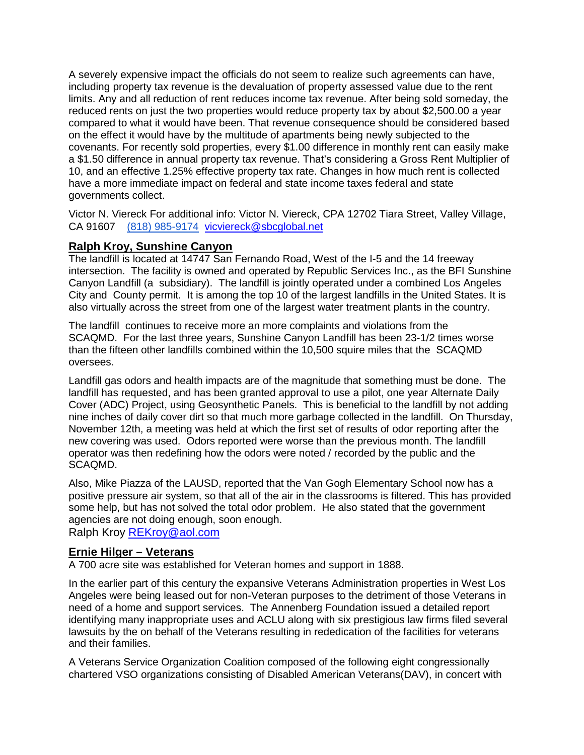A severely expensive impact the officials do not seem to realize such agreements can have, including property tax revenue is the devaluation of property assessed value due to the rent limits. Any and all reduction of rent reduces income tax revenue. After being sold someday, the reduced rents on just the two properties would reduce property tax by about \$2,500.00 a year compared to what it would have been. That revenue consequence should be considered based on the effect it would have by the multitude of apartments being newly subjected to the covenants. For recently sold properties, every \$1.00 difference in monthly rent can easily make a \$1.50 difference in annual property tax revenue. That's considering a Gross Rent Multiplier of 10, and an effective 1.25% effective property tax rate. Changes in how much rent is collected have a more immediate impact on federal and state income taxes federal and state governments collect.

Victor N. Viereck For additional info: Victor N. Viereck, CPA 12702 Tiara Street, Valley Village, CA 91607 [\(818\) 985-9174](tel:%28818%29%20985-9174) [vicviereck@sbcglobal.net](mailto:vicviereck@sbcglobal.net)

#### **Ralph Kroy, Sunshine Canyon**

The landfill is located at 14747 San Fernando Road, West of the I-5 and the 14 freeway intersection. The facility is owned and operated by Republic Services Inc., as the BFI Sunshine Canyon Landfill (a subsidiary). The landfill is jointly operated under a combined Los Angeles City and County permit. It is among the top 10 of the largest landfills in the United States. It is also virtually across the street from one of the largest water treatment plants in the country.

The landfill continues to receive more an more complaints and violations from the SCAQMD. For the last three years, Sunshine Canyon Landfill has been 23-1/2 times worse than the fifteen other landfills combined within the 10,500 squire miles that the SCAQMD oversees.

Landfill gas odors and health impacts are of the magnitude that something must be done. The landfill has requested, and has been granted approval to use a pilot, one year Alternate Daily Cover (ADC) Project, using Geosynthetic Panels. This is beneficial to the landfill by not adding nine inches of daily cover dirt so that much more garbage collected in the landfill. On Thursday, November 12th, a meeting was held at which the first set of results of odor reporting after the new covering was used. Odors reported were worse than the previous month. The landfill operator was then redefining how the odors were noted / recorded by the public and the SCAQMD.

Also, Mike Piazza of the LAUSD, reported that the Van Gogh Elementary School now has a positive pressure air system, so that all of the air in the classrooms is filtered. This has provided some help, but has not solved the total odor problem. He also stated that the government agencies are not doing enough, soon enough.

Ralph Kroy [REKroy@aol.com](mailto:REKroy@aol.com)

#### **Ernie Hilger – Veterans**

A 700 acre site was established for Veteran homes and support in 1888.

In the earlier part of this century the expansive Veterans Administration properties in West Los Angeles were being leased out for non-Veteran purposes to the detriment of those Veterans in need of a home and support services. The Annenberg Foundation issued a detailed report identifying many inappropriate uses and ACLU along with six prestigious law firms filed several lawsuits by the on behalf of the Veterans resulting in rededication of the facilities for veterans and their families.

A Veterans Service Organization Coalition composed of the following eight congressionally chartered VSO organizations consisting of Disabled American Veterans(DAV), in concert with